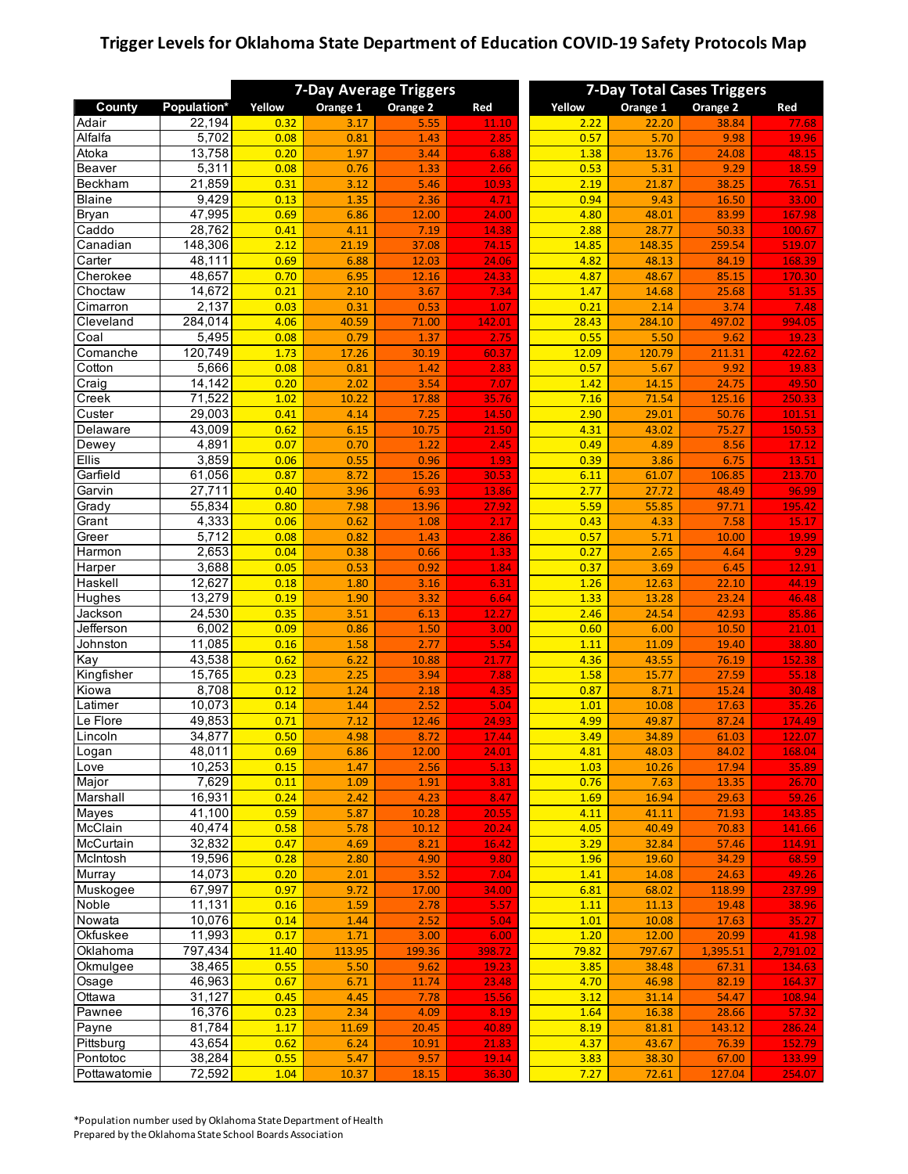## **Trigger Levels for Oklahoma State Department of Education COVID-19 Safety Protocols Map**

|               |             | <b>7-Day Average Triggers</b> |          |          |        | <b>7-Day Total Cases Triggers</b> |          |          |          |
|---------------|-------------|-------------------------------|----------|----------|--------|-----------------------------------|----------|----------|----------|
| County        | Population* | Yellow                        | Orange 1 | Orange 2 | Red    | Yellow                            | Orange 1 | Orange 2 | Red      |
| Adair         | 22,194      | 0.32                          | 3.17     | 5.55     | 11.10  | 2.22                              | 22.20    | 38.84    | 77.68    |
| Alfalfa       | 5,702       | 0.08                          | 0.81     | 1.43     | 2.85   | 0.57                              | 5.70     | 9.98     | 19.96    |
| Atoka         | 13,758      | 0.20                          | 1.97     | 3.44     | 6.88   | 1.38                              | 13.76    | 24.08    | 48.15    |
| <b>Beaver</b> | 5,311       | 0.08                          | 0.76     | 1.33     | 2.66   | 0.53                              | 5.31     | 9.29     | 18.59    |
| Beckham       | 21,859      | 0.31                          | 3.12     | 5.46     | 10.93  | 2.19                              | 21.87    | 38.25    | 76.51    |
| <b>Blaine</b> | 9,429       | 0.13                          | 1.35     | 2.36     | 4.71   | 0.94                              | 9.43     | 16.50    | 33.00    |
| <b>Bryan</b>  | 47,995      | 0.69                          | 6.86     | 12.00    | 24.00  | 4.80                              | 48.01    | 83.99    | 167.98   |
| Caddo         | 28,762      | 0.41                          | 4.11     | 7.19     | 14.38  | 2.88                              | 28.77    | 50.33    | 100.67   |
| Canadian      | 148,306     | 2.12                          | 21.19    | 37.08    | 74.15  | 14.85                             | 148.35   | 259.54   | 519.07   |
| Carter        | 48,111      | 0.69                          | 6.88     | 12.03    | 24.06  | 4.82                              | 48.13    | 84.19    | 168.39   |
| Cherokee      | 48,657      | 0.70                          | 6.95     | 12.16    | 24.33  | 4.87                              | 48.67    | 85.15    | 170.30   |
| Choctaw       | 14,672      | 0.21                          | 2.10     | 3.67     | 7.34   | 1.47                              | 14.68    | 25.68    | 51.35    |
| Cimarron      | 2,137       | 0.03                          | 0.31     | 0.53     |        | 0.21                              | 2.14     | 3.74     | 7.48     |
|               |             |                               |          |          | 1.07   |                                   |          |          |          |
| Cleveland     | 284,014     | 4.06                          | 40.59    | 71.00    | 142.01 | 28.43                             | 284.10   | 497.02   | 994.05   |
| Coal          | 5,495       | 0.08                          | 0.79     | 1.37     | 2.75   | 0.55                              | 5.50     | 9.62     | 19.23    |
| Comanche      | 120,749     | 1.73                          | 17.26    | 30.19    | 60.37  | 12.09                             | 120.79   | 211.31   | 422.62   |
| Cotton        | 5,666       | 0.08                          | 0.81     | 1.42     | 2.83   | 0.57                              | 5.67     | 9.92     | 19.83    |
| Craig         | 14,142      | 0.20                          | 2.02     | 3.54     | 7.07   | 1.42                              | 14.15    | 24.75    | 49.50    |
| Creek         | 71,522      | 1.02                          | 10.22    | 17.88    | 35.76  | 7.16                              | 71.54    | 125.16   | 250.33   |
| Custer        | 29,003      | 0.41                          | 4.14     | 7.25     | 14.50  | 2.90                              | 29.01    | 50.76    | 101.51   |
| Delaware      | 43,009      | 0.62                          | 6.15     | 10.75    | 21.50  | 4.31                              | 43.02    | 75.27    | 150.53   |
| Dewey         | 4,891       | 0.07                          | 0.70     | 1.22     | 2.45   | 0.49                              | 4.89     | 8.56     | 17.12    |
| <b>Ellis</b>  | 3,859       | 0.06                          | 0.55     | 0.96     | 1.93   | 0.39                              | 3.86     | 6.75     | 13.51    |
| Garfield      | 61,056      | 0.87                          | 8.72     | 15.26    | 30.53  | 6.11                              | 61.07    | 106.85   | 213.70   |
| Garvin        | 27,711      | 0.40                          |          | 6.93     |        | 2.77                              |          |          |          |
|               | 55,834      | 0.80                          | 3.96     |          | 13.86  |                                   | 27.72    | 48.49    | 96.99    |
| Grady         |             |                               | 7.98     | 13.96    | 27.92  | 5.59                              | 55.85    | 97.71    | 195.42   |
| Grant         | 4,333       | 0.06                          | 0.62     | 1.08     | 2.17   | 0.43                              | 4.33     | 7.58     | 15.17    |
| Greer         | 5,712       | 0.08                          | 0.82     | 1.43     | 2.86   | 0.57                              | 5.71     | 10.00    | 19.99    |
| Harmon        | 2,653       | 0.04                          | 0.38     | 0.66     | 1.33   | 0.27                              | 2.65     | 4.64     | 9.29     |
| Harper        | 3,688       | 0.05                          | 0.53     | 0.92     | 1.84   | 0.37                              | 3.69     | 6.45     | 12.91    |
| Haskell       | 12,627      | 0.18                          | 1.80     | 3.16     | 6.31   | 1.26                              | 12.63    | 22.10    | 44.19    |
| Hughes        | 13,279      | 0.19                          | 1.90     | 3.32     | 6.64   | 1.33                              | 13.28    | 23.24    | 46.48    |
| Jackson       | 24,530      | 0.35                          | 3.51     | 6.13     | 12.27  | 2.46                              | 24.54    | 42.93    | 85.86    |
| Jefferson     | 6,002       | 0.09                          | 0.86     | 1.50     | 3.00   | 0.60                              | 6.00     | 10.50    | 21.01    |
| Johnston      | 11,085      | 0.16                          | 1.58     | 2.77     | 5.54   | 1.11                              | 11.09    | 19.40    | 38.80    |
| Kay           | 43,538      | 0.62                          | 6.22     | 10.88    | 21.77  | 4.36                              | 43.55    | 76.19    | 152.38   |
| Kingfisher    | 15,765      | 0.23                          | 2.25     | 3.94     | 7.88   | 1.58                              | 15.77    | 27.59    | 55.18    |
| Kiowa         | 8,708       | 0.12                          | 1.24     | 2.18     | 4.35   | 0.87                              | 8.71     | 15.24    | 30.48    |
| Latimer       | 10,073      | 0.14                          | 1.44     | 2.52     | 5.04   | 1.01                              | 10.08    | 17.63    | 35.26    |
| Le Flore      | 49,853      | 0.71                          | 7.12     | 12.46    |        | 4.99                              |          | 87.24    |          |
|               |             |                               |          |          | 24.93  |                                   | 49.87    |          | 174.49   |
| Lincoln       | 34,877      | 0.50                          | 4.98     | 8.72     | 17.44  | 3.49                              | 34.89    | 61.03    | 122.07   |
| Logan         | 48,011      | 0.69                          | 6.86     | 12.00    | 24.01  | 4.81                              | 48.03    | 84.02    | 168.04   |
| Love          | 10,253      | 0.15                          | 1.47     | 2.56     | 5.13   | 1.03                              | 10.26    | 17.94    | 35.89    |
| Major         | 7,629       | 0.11                          | 1.09     | 1.91     | 3.81   | 0.76                              | 7.63     | 13.35    | 26.70    |
| Marshall      | 16,931      | 0.24                          | 2.42     | 4.23     | 8.47   | 1.69                              | 16.94    | 29.63    | 59.26    |
| Mayes         | 41,100      | 0.59                          | 5.87     | 10.28    | 20.55  | 4.11                              | 41.11    | 71.93    | 143.85   |
| McClain       | 40,474      | 0.58                          | 5.78     | 10.12    | 20.24  | 4.05                              | 40.49    | 70.83    | 141.66   |
| McCurtain     | 32,832      | 0.47                          | 4.69     | 8.21     | 16.42  | 3.29                              | 32.84    | 57.46    | 114.91   |
| McIntosh      | 19,596      | 0.28                          | 2.80     | 4.90     | 9.80   | 1.96                              | 19.60    | 34.29    | 68.59    |
| Murray        | 14,073      | 0.20                          | 2.01     | 3.52     | 7.04   | 1.41                              | 14.08    | 24.63    | 49.26    |
| Muskogee      | 67,997      | 0.97                          | 9.72     | 17.00    | 34.00  | 6.81                              | 68.02    | 118.99   | 237.99   |
| Noble         | 11,131      | 0.16                          | 1.59     | 2.78     | 5.57   | 1.11                              | 11.13    | 19.48    | 38.96    |
| Nowata        | 10,076      | 0.14                          | 1.44     | 2.52     | 5.04   | 1.01                              | 10.08    | 17.63    | 35.27    |
| Okfuskee      |             |                               |          |          |        |                                   |          |          |          |
|               | 11,993      | 0.17                          | 1.71     | 3.00     | 6.00   | 1.20                              | 12.00    | 20.99    | 41.98    |
| Oklahoma      | 797,434     | 11.40                         | 113.95   | 199.36   | 398.72 | 79.82                             | 797.67   | 1,395.51 | 2,791.02 |
| Okmulgee      | 38,465      | 0.55                          | 5.50     | 9.62     | 19.23  | 3.85                              | 38.48    | 67.31    | 134.63   |
| Osage         | 46,963      | 0.67                          | 6.71     | 11.74    | 23.48  | 4.70                              | 46.98    | 82.19    | 164.37   |
| Ottawa        | 31,127      | 0.45                          | 4.45     | 7.78     | 15.56  | 3.12                              | 31.14    | 54.47    | 108.94   |
| Pawnee        | 16,376      | 0.23                          | 2.34     | 4.09     | 8.19   | 1.64                              | 16.38    | 28.66    | 57.32    |
| Payne         | 81,784      | 1.17                          | 11.69    | 20.45    | 40.89  | 8.19                              | 81.81    | 143.12   | 286.24   |
| Pittsburg     | 43,654      | 0.62                          | 6.24     | 10.91    | 21.83  | 4.37                              | 43.67    | 76.39    | 152.79   |
| Pontotoc      | 38,284      | 0.55                          | 5.47     | 9.57     | 19.14  | 3.83                              | 38.30    | 67.00    | 133.99   |
| Pottawatomie  | 72,592      | 1.04                          | 10.37    | 18.15    | 36.30  | 7.27                              | 72.61    | 127.04   | 254.07   |